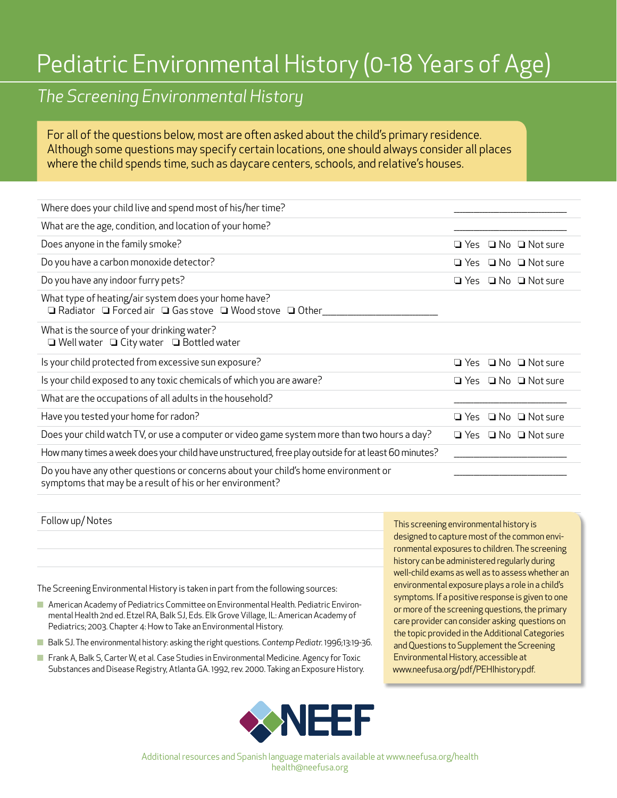# Pediatric Environmental History (0-18 Years of Age)

## *The Screening Environmental History*

### For all of the questions below, most are often asked about the child's primary residence. Although some questions may specify certain locations, one should always consider all places where the child spends time, such as daycare centers, schools, and relative's houses.

| Where does your child live and spend most of his/her time?                                                                                     |            |                                      |
|------------------------------------------------------------------------------------------------------------------------------------------------|------------|--------------------------------------|
| What are the age, condition, and location of your home?                                                                                        |            |                                      |
| Does anyone in the family smoke?                                                                                                               |            | $\Box$ Yes $\Box$ No $\Box$ Not sure |
| Do you have a carbon monoxide detector?                                                                                                        |            | □ Yes □ No □ Not sure                |
| Do you have any indoor furry pets?                                                                                                             |            | □ Yes □ No □ Not sure                |
| What type of heating/air system does your home have?<br>$\Box$ Radiator $\Box$ Forced air $\Box$ Gas stove $\Box$ Wood stove $\Box$ Other      |            |                                      |
| What is the source of your drinking water?<br>$\Box$ Well water $\Box$ City water $\Box$ Bottled water                                         |            |                                      |
| Is your child protected from excessive sun exposure?                                                                                           | $\Box$ Yes | $\Box$ No $\Box$ Not sure            |
| Is your child exposed to any toxic chemicals of which you are aware?                                                                           |            | $\Box$ Yes $\Box$ No $\Box$ Not sure |
| What are the occupations of all adults in the household?                                                                                       |            |                                      |
| Have you tested your home for radon?                                                                                                           | $\Box$ Yes | $\Box$ No $\Box$ Not sure            |
| Does your child watch TV, or use a computer or video game system more than two hours a day?                                                    |            | $\Box$ Yes $\Box$ No $\Box$ Not sure |
| How many times a week does your child have unstructured, free play outside for at least 60 minutes?                                            |            |                                      |
| Do you have any other questions or concerns about your child's home environment or<br>symptoms that may be a result of his or her environment? |            |                                      |

Follow up/ Notes

The Screening Environmental History is taken in part from the following sources:

- American Academy of Pediatrics Committee on Environmental Health. Pediatric Environmental Health 2nd ed. Etzel RA, Balk SJ, Eds. Elk Grove Village, IL: American Academy of Pediatrics; 2003. Chapter 4: How to Take an Environmental History.
- Balk SJ. The environmental history: asking the right questions. *Contemp Pediatr*. 1996;13:19-36.
- Frank A, Balk S, Carter W, et al. Case Studies in Environmental Medicine. Agency for Toxic Substances and Disease Registry, Atlanta GA. 1992, rev. 2000. Taking an Exposure History.

This screening environmental history is designed to capture most of the common environmental exposures to children. The screening history can be administered regularly during well-child exams as well as to assess whether an environmental exposure plays a role in a child's symptoms. If a positive response is given to one or more of the screening questions, the primary care provider can consider asking questions on the topic provided in the Additional Categories and Questions to Supplement the Screening Environmental History, accessible at www.neefusa.org/pdf/PEHIhistory.pdf.

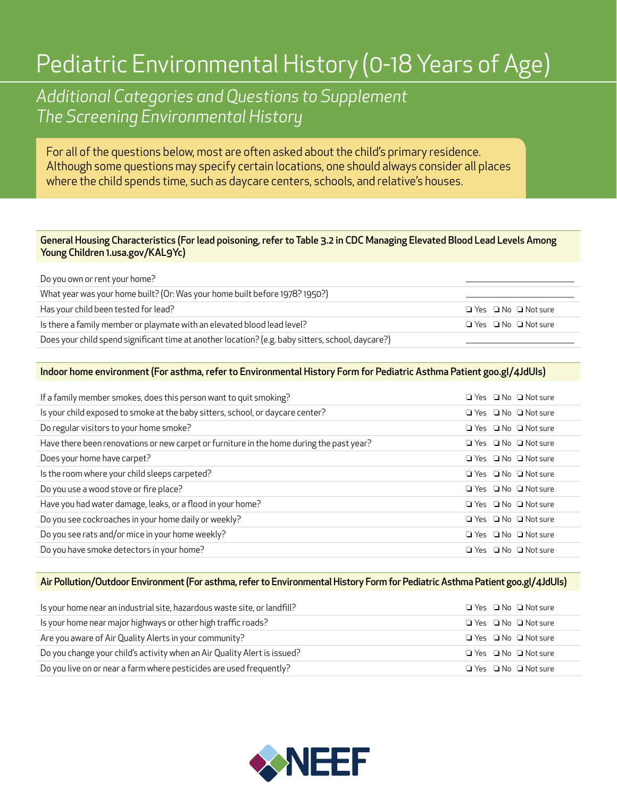# Pediatric Environmental History (0-18 Years of Age)

### *Additional Categories and Questions to Supplement The Screening Environmental History*

For all of the questions below, most are often asked about the child's primary residence. Although some questions may specify certain locations, one should always consider all places where the child spends time, such as daycare centers, schools, and relative's houses.

#### General Housing Characteristics (For lead poisoning, refer to Table 3.2 in CDC Managing Elevated Blood Lead Levels Among Young Children 1.usa.gov/KAL9Yc)

Do you own or rent your home?

| What year was your home built? (Or: Was your home built before 1978? 1950?)                       |                                      |
|---------------------------------------------------------------------------------------------------|--------------------------------------|
| Has your child been tested for lead?                                                              | $\Box$ Yes $\Box$ No $\Box$ Not sure |
| Is there a family member or playmate with an elevated blood lead level?                           | $\Box$ Yes $\Box$ No $\Box$ Not sure |
| Does your child spend significant time at another location? (e.g. baby sitters, school, daycare?) |                                      |
|                                                                                                   |                                      |

#### Indoor home environment (For asthma, refer to Environmental History Form for Pediatric Asthma Patient goo.gl/4JdUIs)

| If a family member smokes, does this person want to quit smoking?                        | $\Box$ Yes $\Box$ No $\Box$ Not sure  |
|------------------------------------------------------------------------------------------|---------------------------------------|
| Is your child exposed to smoke at the baby sitters, school, or daycare center?           | $\Box$ Yes $\Box$ No $\Box$ Not sure  |
| Do regular visitors to your home smoke?                                                  | $\Box$ Yes $\Box$ No $\Box$ Not sure  |
| Have there been renovations or new carpet or furniture in the home during the past year? | $\Box$ Yes $\Box$ No $\Box$ Not sure  |
| Does your home have carpet?                                                              | $\Box$ Yes $\Box$ No $\Box$ Not sure  |
| Is the room where your child sleeps carpeted?                                            | $\Box$ Yes $\Box$ No. $\Box$ Not sure |
| Do you use a wood stove or fire place?                                                   | $\Box$ Yes $\Box$ No. $\Box$ Not sure |
| Have you had water damage, leaks, or a flood in your home?                               | $\Box$ Yes $\Box$ No. $\Box$ Not sure |
| Do you see cockroaches in your home daily or weekly?                                     | $\Box$ Yes $\Box$ No $\Box$ Not sure  |
| Do you see rats and/or mice in your home weekly?                                         | $\Box$ Yes $\Box$ No. $\Box$ Not sure |
| Do you have smoke detectors in your home?                                                | $\Box$ Yes $\Box$ No $\Box$ Not sure  |

#### Air Pollution/Outdoor Environment (For asthma, refer to Environmental History Form for Pediatric Asthma Patient goo.gl/4JdUIs)

| Is your home near an industrial site, hazardous waste site, or landfill? | $\Box$ Yes $\Box$ No $\Box$ Not sure |
|--------------------------------------------------------------------------|--------------------------------------|
| Is your home near major highways or other high traffic roads?            | □ Yes □ No □ Not sure                |
| Are you aware of Air Quality Alerts in your community?                   | $\Box$ Yes $\Box$ No $\Box$ Not sure |
| Do you change your child's activity when an Air Quality Alert is issued? | □ Yes □ No □ Not sure                |
| Do you live on or near a farm where pesticides are used frequently?      | □ Yes □ No □ Not sure                |

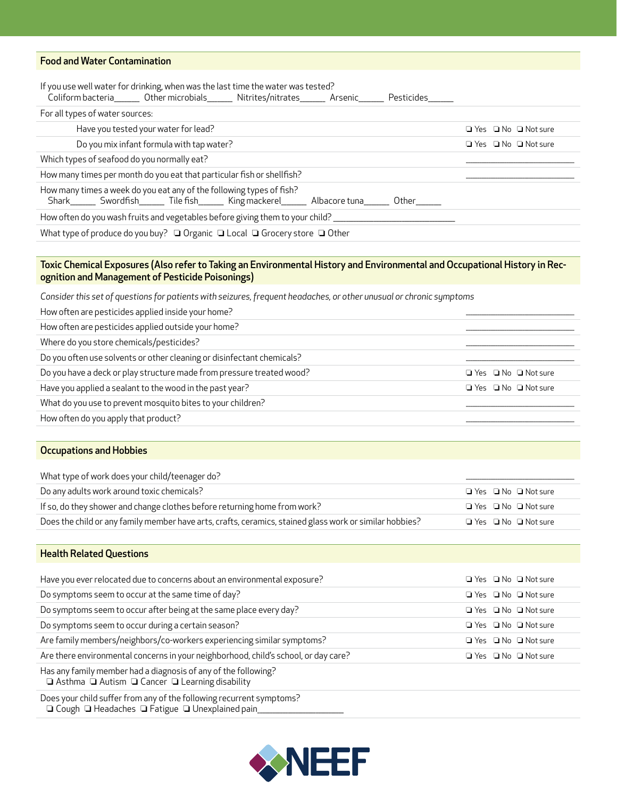#### Food and Water Contamination

| If you use well water for drinking, when was the last time the water was tested?<br>Coliform bacteria ______ Other microbials ______ Nitrites/nitrates ______ Arsenic ______ Pesticides |                                      |
|-----------------------------------------------------------------------------------------------------------------------------------------------------------------------------------------|--------------------------------------|
| For all types of water sources:                                                                                                                                                         |                                      |
| Have you tested your water for lead?                                                                                                                                                    | $\Box$ Yes $\Box$ No $\Box$ Not sure |
| Do you mix infant formula with tap water?                                                                                                                                               | $\Box$ Yes $\Box$ No $\Box$ Not sure |
| Which types of seafood do you normally eat?                                                                                                                                             |                                      |
| How many times per month do you eat that particular fish or shellfish?                                                                                                                  |                                      |
| How many times a week do you eat any of the following types of fish?<br>Shark_______ Swordfish________ Tile fish_______ King mackerel________ Albacore tuna________ Other_______        |                                      |
| How often do you wash fruits and vegetables before giving them to your child?                                                                                                           |                                      |
| What type of produce do you buy? $\Box$ Organic $\Box$ Local $\Box$ Grocery store $\Box$ Other                                                                                          |                                      |

#### Toxic Chemical Exposures (Also refer to Taking an Environmental History and Environmental and Occupational History in Recognition and Management of Pesticide Poisonings)

*Consider this set of questions for patients with seizures, frequent headaches, or other unusual or chronic symptoms*

| How often are pesticides applied inside your home?                     |                                      |
|------------------------------------------------------------------------|--------------------------------------|
| How often are pesticides applied outside your home?                    |                                      |
| Where do you store chemicals/pesticides?                               |                                      |
| Do you often use solvents or other cleaning or disinfectant chemicals? |                                      |
| Do you have a deck or play structure made from pressure treated wood?  | $\Box$ Yes $\Box$ No $\Box$ Not sure |
| Have you applied a sealant to the wood in the past year?               | □ Yes □ No □ Not sure                |
| What do you use to prevent mosquito bites to your children?            |                                      |
| How often do you apply that product?                                   |                                      |

#### Occupations and Hobbies

| What type of work does your child/teenager do?                                                          |                       |
|---------------------------------------------------------------------------------------------------------|-----------------------|
| Do any adults work around toxic chemicals?                                                              | □ Yes □ No □ Not sure |
| If so, do they shower and change clothes before returning home from work?                               | □ Yes □ No □ Not sure |
| Does the child or any family member have arts, crafts, ceramics, stained glass work or similar hobbies? | □ Yes □ No □ Not sure |
|                                                                                                         |                       |

#### Health Related Questions

| Have you ever relocated due to concerns about an environmental exposure?                                                 |  | $\Box$ Yes $\Box$ No $\Box$ Not sure |  |
|--------------------------------------------------------------------------------------------------------------------------|--|--------------------------------------|--|
| Do symptoms seem to occur at the same time of day?                                                                       |  | $\Box$ Yes $\Box$ No $\Box$ Not sure |  |
| Do symptoms seem to occur after being at the same place every day?                                                       |  | $\Box$ Yes $\Box$ No $\Box$ Not sure |  |
| Do symptoms seem to occur during a certain season?                                                                       |  | $\Box$ Yes $\Box$ No $\Box$ Not sure |  |
| Are family members/neighbors/co-workers experiencing similar symptoms?                                                   |  | $\Box$ Yes $\Box$ No $\Box$ Not sure |  |
| Are there environmental concerns in your neighborhood, child's school, or day care?                                      |  | $\Box$ Yes $\Box$ No $\Box$ Not sure |  |
| Has any family member had a diagnosis of any of the following?<br>□ Asthma □ Autism □ Cancer □ Learning disability       |  |                                      |  |
| Does your child suffer from any of the following recurrent symptoms?<br>□ Cough □ Headaches □ Fatigue □ Unexplained pain |  |                                      |  |